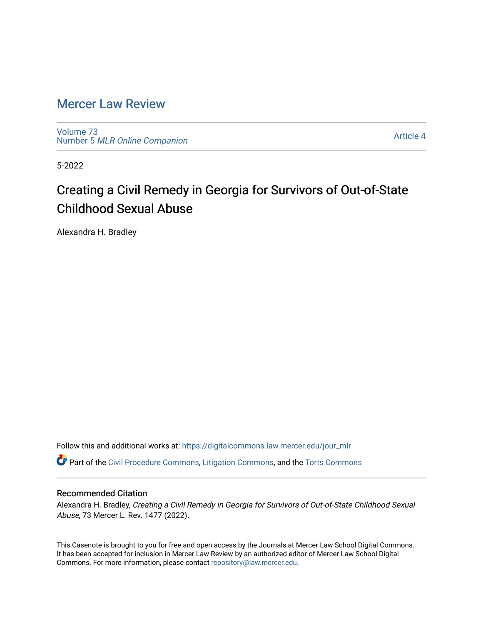# [Mercer Law Review](https://digitalcommons.law.mercer.edu/jour_mlr)

[Volume 73](https://digitalcommons.law.mercer.edu/jour_mlr/vol73) Number 5 [MLR Online Companion](https://digitalcommons.law.mercer.edu/jour_mlr/vol73/iss5) 

[Article 4](https://digitalcommons.law.mercer.edu/jour_mlr/vol73/iss5/4) 

5-2022

# Creating a Civil Remedy in Georgia for Survivors of Out-of-State Childhood Sexual Abuse

Alexandra H. Bradley

Follow this and additional works at: [https://digitalcommons.law.mercer.edu/jour\\_mlr](https://digitalcommons.law.mercer.edu/jour_mlr?utm_source=digitalcommons.law.mercer.edu%2Fjour_mlr%2Fvol73%2Fiss5%2F4&utm_medium=PDF&utm_campaign=PDFCoverPages)

Part of the [Civil Procedure Commons,](https://network.bepress.com/hgg/discipline/584?utm_source=digitalcommons.law.mercer.edu%2Fjour_mlr%2Fvol73%2Fiss5%2F4&utm_medium=PDF&utm_campaign=PDFCoverPages) [Litigation Commons](https://network.bepress.com/hgg/discipline/910?utm_source=digitalcommons.law.mercer.edu%2Fjour_mlr%2Fvol73%2Fiss5%2F4&utm_medium=PDF&utm_campaign=PDFCoverPages), and the [Torts Commons](https://network.bepress.com/hgg/discipline/913?utm_source=digitalcommons.law.mercer.edu%2Fjour_mlr%2Fvol73%2Fiss5%2F4&utm_medium=PDF&utm_campaign=PDFCoverPages) 

# Recommended Citation

Alexandra H. Bradley, Creating a Civil Remedy in Georgia for Survivors of Out-of-State Childhood Sexual Abuse, 73 Mercer L. Rev. 1477 (2022).

This Casenote is brought to you for free and open access by the Journals at Mercer Law School Digital Commons. It has been accepted for inclusion in Mercer Law Review by an authorized editor of Mercer Law School Digital Commons. For more information, please contact [repository@law.mercer.edu.](mailto:repository@law.mercer.edu)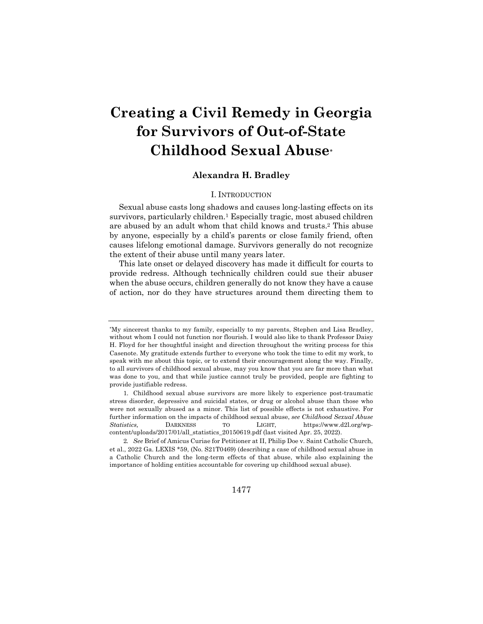# **Creating a Civil Remedy in Georgia for Survivors of Out-of-State Childhood Sexual Abuse\***

# **Alexandra H. Bradley**

## I. INTRODUCTION

Sexual abuse casts long shadows and causes long-lasting effects on its survivors, particularly children.<sup>1</sup> Especially tragic, most abused children are abused by an adult whom that child knows and trusts.2 This abuse by anyone, especially by a child's parents or close family friend, often causes lifelong emotional damage. Survivors generally do not recognize the extent of their abuse until many years later.

This late onset or delayed discovery has made it difficult for courts to provide redress. Although technically children could sue their abuser when the abuse occurs, children generally do not know they have a cause of action, nor do they have structures around them directing them to

1477

<sup>\*</sup>My sincerest thanks to my family, especially to my parents, Stephen and Lisa Bradley, without whom I could not function nor flourish. I would also like to thank Professor Daisy H. Floyd for her thoughtful insight and direction throughout the writing process for this Casenote. My gratitude extends further to everyone who took the time to edit my work, to speak with me about this topic, or to extend their encouragement along the way. Finally, to all survivors of childhood sexual abuse, may you know that you are far more than what was done to you, and that while justice cannot truly be provided, people are fighting to provide justifiable redress.

<sup>1.</sup> Childhood sexual abuse survivors are more likely to experience post-traumatic stress disorder, depressive and suicidal states, or drug or alcohol abuse than those who were not sexually abused as a minor. This list of possible effects is not exhaustive. For further information on the impacts of childhood sexual abuse, *see Childhood Sexual Abuse Statistics,* DARKNESS TO LIGHT, https://www.d2l.org/wpcontent/uploads/2017/01/all\_statistics\_20150619.pdf (last visited Apr. 25, 2022).

<sup>2</sup>*. See* Brief of Amicus Curiae for Petitioner at II, Philip Doe v. Saint Catholic Church, et al., 2022 Ga. LEXIS \*59, (No. S21T0469) (describing a case of childhood sexual abuse in a Catholic Church and the long-term effects of that abuse, while also explaining the importance of holding entities accountable for covering up childhood sexual abuse).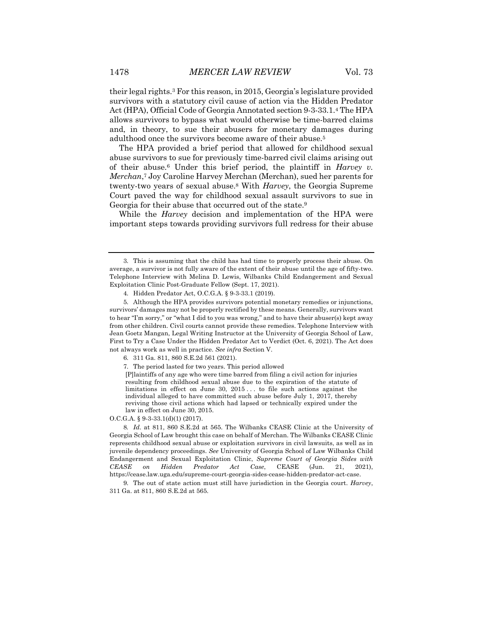their legal rights.3 For this reason, in 2015, Georgia's legislature provided survivors with a statutory civil cause of action via the Hidden Predator Act (HPA), Official Code of Georgia Annotated section 9-3-33.1.4 The HPA allows survivors to bypass what would otherwise be time-barred claims and, in theory, to sue their abusers for monetary damages during adulthood once the survivors become aware of their abuse.5

The HPA provided a brief period that allowed for childhood sexual abuse survivors to sue for previously time-barred civil claims arising out of their abuse.6 Under this brief period, the plaintiff in *Harvey v. Merchan*,7 Joy Caroline Harvey Merchan (Merchan), sued her parents for twenty-two years of sexual abuse.8 With *Harvey*, the Georgia Supreme Court paved the way for childhood sexual assault survivors to sue in Georgia for their abuse that occurred out of the state.<sup>9</sup>

While the *Harvey* decision and implementation of the HPA were important steps towards providing survivors full redress for their abuse

[P]laintiffs of any age who were time barred from filing a civil action for injuries resulting from childhood sexual abuse due to the expiration of the statute of limitations in effect on June 30, 2015 . . . to file such actions against the individual alleged to have committed such abuse before July 1, 2017, thereby reviving those civil actions which had lapsed or technically expired under the law in effect on June 30, 2015.

O.C.G.A. § 9-3-33.1(d)(1) (2017).

8*. Id.* at 811, 860 S.E.2d at 565. The Wilbanks CEASE Clinic at the University of Georgia School of Law brought this case on behalf of Merchan. The Wilbanks CEASE Clinic represents childhood sexual abuse or exploitation survivors in civil lawsuits, as well as in juvenile dependency proceedings. *See* University of Georgia School of Law Wilbanks Child Endangerment and Sexual Exploitation Clinic, *Supreme Court of Georgia Sides with CEASE on Hidden Predator Act Case*, CEASE (Jun. 21, 2021), https://cease.law.uga.edu/supreme-court-georgia-sides-cease-hidden-predator-act-case.

9. The out of state action must still have jurisdiction in the Georgia court. *Harvey*, 311 Ga. at 811, 860 S.E.2d at 565*.*

<sup>3.</sup> This is assuming that the child has had time to properly process their abuse. On average, a survivor is not fully aware of the extent of their abuse until the age of fifty-two. Telephone Interview with Melina D. Lewis, Wilbanks Child Endangerment and Sexual Exploitation Clinic Post-Graduate Fellow (Sept. 17, 2021).

<sup>4.</sup> Hidden Predator Act, O.C.G.A. § 9-3-33.1 (2019).

<sup>5.</sup> Although the HPA provides survivors potential monetary remedies or injunctions, survivors' damages may not be properly rectified by these means. Generally, survivors want to hear "I'm sorry," or "what I did to you was wrong," and to have their abuser(s) kept away from other children. Civil courts cannot provide these remedies. Telephone Interview with Jean Goetz Mangan, Legal Writing Instructor at the University of Georgia School of Law, First to Try a Case Under the Hidden Predator Act to Verdict (Oct. 6, 2021). The Act does not always work as well in practice. *See infra* Section V.

<sup>6.</sup> 311 Ga. 811, 860 S.E.2d 561 (2021).

<sup>7.</sup> The period lasted for two years. This period allowed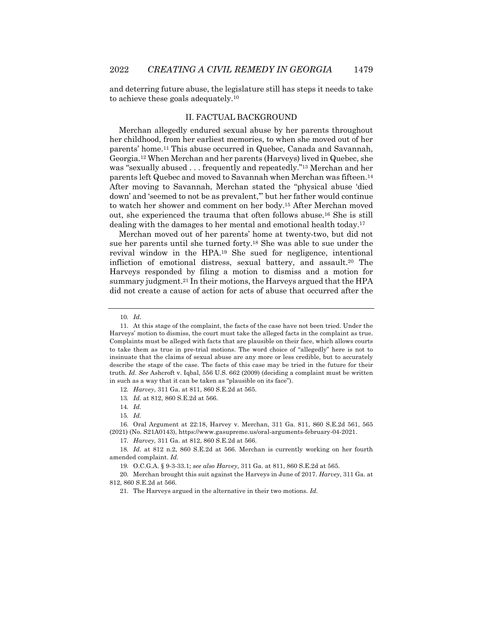and deterring future abuse, the legislature still has steps it needs to take to achieve these goals adequately.10

### II. FACTUAL BACKGROUND

Merchan allegedly endured sexual abuse by her parents throughout her childhood, from her earliest memories, to when she moved out of her parents' home.11 This abuse occurred in Quebec, Canada and Savannah, Georgia.12 When Merchan and her parents (Harveys) lived in Quebec, she was "sexually abused . . . frequently and repeatedly."13 Merchan and her parents left Quebec and moved to Savannah when Merchan was fifteen.14 After moving to Savannah, Merchan stated the "physical abuse 'died down' and 'seemed to not be as prevalent,'" but her father would continue to watch her shower and comment on her body.15 After Merchan moved out, she experienced the trauma that often follows abuse.16 She is still dealing with the damages to her mental and emotional health today.17

Merchan moved out of her parents' home at twenty-two, but did not sue her parents until she turned forty.18 She was able to sue under the revival window in the HPA.19 She sued for negligence, intentional infliction of emotional distress, sexual battery, and assault.20 The Harveys responded by filing a motion to dismiss and a motion for summary judgment.21 In their motions, the Harveys argued that the HPA did not create a cause of action for acts of abuse that occurred after the

16. Oral Argument at 22:18, Harvey v. Merchan, 311 Ga. 811, 860 S.E.2d 561, 565 (2021) (No. S21A0143), https://www.gasupreme.us/oral-arguments-february-04-2021.

<sup>10</sup>*. Id.*

<sup>11.</sup> At this stage of the complaint, the facts of the case have not been tried. Under the Harveys' motion to dismiss, the court must take the alleged facts in the complaint as true. Complaints must be alleged with facts that are plausible on their face, which allows courts to take them as true in pre-trial motions. The word choice of "allegedly" here is not to insinuate that the claims of sexual abuse are any more or less credible, but to accurately describe the stage of the case. The facts of this case may be tried in the future for their truth. *Id. See* Ashcroft v. Iqbal, 556 U.S. 662 (2009) (deciding a complaint must be written in such as a way that it can be taken as "plausible on its face").

<sup>12</sup>*. Harvey*, 311 Ga. at 811, 860 S.E.2d at 565.

<sup>13</sup>*. Id.* at 812, 860 S.E.2d at 566.

<sup>14</sup>*. Id.*

<sup>15</sup>*. Id.*

<sup>17</sup>*. Harvey,* 311 Ga. at 812, 860 S.E.2d at 566.

<sup>18</sup>*. Id.* at 812 n.2, 860 S.E.2d at 566. Merchan is currently working on her fourth amended complaint. *Id.*

<sup>19.</sup> O.C.G.A. § 9-3-33.1; *see also Harvey*, 311 Ga. at 811, 860 S.E.2d at 565.

<sup>20.</sup> Merchan brought this suit against the Harveys in June of 2017. *Harvey*, 311 Ga. at 812, 860 S.E.2d at 566.

<sup>21.</sup> The Harveys argued in the alternative in their two motions. *Id.*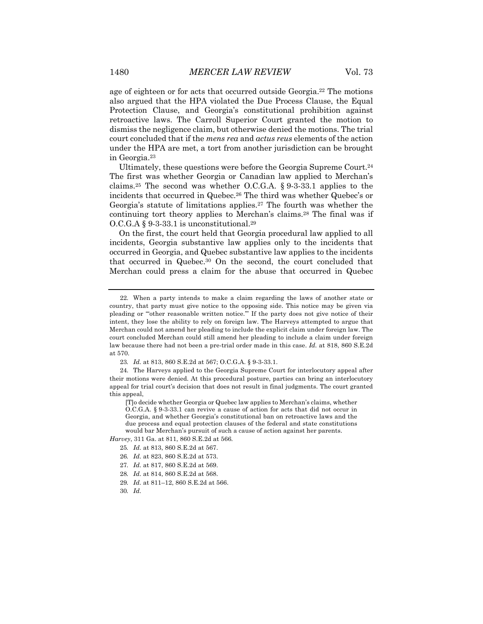age of eighteen or for acts that occurred outside Georgia.22 The motions also argued that the HPA violated the Due Process Clause, the Equal Protection Clause, and Georgia's constitutional prohibition against retroactive laws. The Carroll Superior Court granted the motion to dismiss the negligence claim, but otherwise denied the motions. The trial court concluded that if the *mens rea* and *actus reus* elements of the action under the HPA are met, a tort from another jurisdiction can be brought in Georgia.23

Ultimately, these questions were before the Georgia Supreme Court.24 The first was whether Georgia or Canadian law applied to Merchan's claims.<sup>25</sup> The second was whether O.C.G.A.  $\S$  9-3-33.1 applies to the incidents that occurred in Quebec.26 The third was whether Quebec's or Georgia's statute of limitations applies.27 The fourth was whether the continuing tort theory applies to Merchan's claims.28 The final was if  $O.C.G.A$  § 9-3-33.1 is unconstitutional.<sup>29</sup>

On the first, the court held that Georgia procedural law applied to all incidents, Georgia substantive law applies only to the incidents that occurred in Georgia, and Quebec substantive law applies to the incidents that occurred in Quebec.30 On the second, the court concluded that Merchan could press a claim for the abuse that occurred in Quebec

24. The Harveys applied to the Georgia Supreme Court for interlocutory appeal after their motions were denied. At this procedural posture, parties can bring an interlocutory appeal for trial court's decision that does not result in final judgments. The court granted this appeal,

[T]o decide whether Georgia or Quebec law applies to Merchan's claims, whether O.C.G.A. § 9-3-33.1 can revive a cause of action for acts that did not occur in Georgia, and whether Georgia's constitutional ban on retroactive laws and the due process and equal protection clauses of the federal and state constitutions would bar Merchan's pursuit of such a cause of action against her parents.

*Harvey*, 311 Ga. at 811, 860 S.E.2d at 566*.*

- 26*. Id.* at 823, 860 S.E.2d at 573.
- 27*. Id.* at 817, 860 S.E.2d at 569.
- 28*. Id.* at 814, 860 S.E.2d at 568.
- 29*. Id.* at 811–12, 860 S.E.2d at 566.
- 30*. Id.*

<sup>22.</sup> When a party intends to make a claim regarding the laws of another state or country, that party must give notice to the opposing side. This notice may be given via pleading or "'other reasonable written notice.'" If the party does not give notice of their intent, they lose the ability to rely on foreign law. The Harveys attempted to argue that Merchan could not amend her pleading to include the explicit claim under foreign law. The court concluded Merchan could still amend her pleading to include a claim under foreign law because there had not been a pre-trial order made in this case. *Id.* at 818, 860 S.E.2d at 570.

<sup>23</sup>*. Id.* at 813, 860 S.E.2d at 567; O.C.G.A. § 9-3-33.1.

<sup>25</sup>*. Id.* at 813, 860 S.E.2d at 567.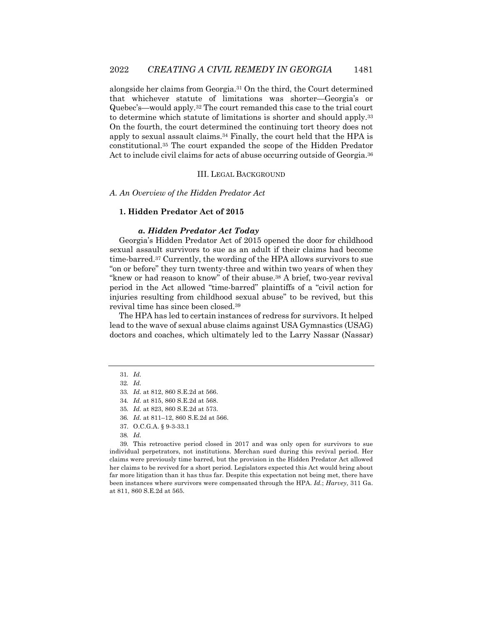alongside her claims from Georgia.31 On the third, the Court determined that whichever statute of limitations was shorter—Georgia's or Quebec's—would apply.32 The court remanded this case to the trial court to determine which statute of limitations is shorter and should apply.33 On the fourth, the court determined the continuing tort theory does not apply to sexual assault claims.34 Finally, the court held that the HPA is constitutional.35 The court expanded the scope of the Hidden Predator Act to include civil claims for acts of abuse occurring outside of Georgia.<sup>36</sup>

#### III. LEGAL BACKGROUND

#### *A. An Overview of the Hidden Predator Act*

#### **1. Hidden Predator Act of 2015**

#### *a. Hidden Predator Act Today*

Georgia's Hidden Predator Act of 2015 opened the door for childhood sexual assault survivors to sue as an adult if their claims had become time-barred.37 Currently, the wording of the HPA allows survivors to sue "on or before" they turn twenty-three and within two years of when they "knew or had reason to know" of their abuse.38 A brief, two-year revival period in the Act allowed "time-barred" plaintiffs of a "civil action for injuries resulting from childhood sexual abuse" to be revived, but this revival time has since been closed.39

The HPA has led to certain instances of redress for survivors. It helped lead to the wave of sexual abuse claims against USA Gymnastics (USAG) doctors and coaches, which ultimately led to the Larry Nassar (Nassar)

39. This retroactive period closed in 2017 and was only open for survivors to sue individual perpetrators, not institutions. Merchan sued during this revival period. Her claims were previously time barred, but the provision in the Hidden Predator Act allowed her claims to be revived for a short period. Legislators expected this Act would bring about far more litigation than it has thus far. Despite this expectation not being met, there have been instances where survivors were compensated through the HPA. *Id.*; *Harvey*, 311 Ga. at 811, 860 S.E.2d at 565.

<sup>31</sup>*. Id.*

<sup>32</sup>*. Id.*

<sup>33</sup>*. Id.* at 812, 860 S.E.2d at 566.

<sup>34</sup>*. Id.* at 815, 860 S.E.2d at 568.

<sup>35</sup>*. Id.* at 823, 860 S.E.2d at 573.

<sup>36</sup>*. Id.* at 811–12, 860 S.E.2d at 566.

<sup>37.</sup> O.C.G.A. § 9-3-33.1

<sup>38</sup>*. Id.*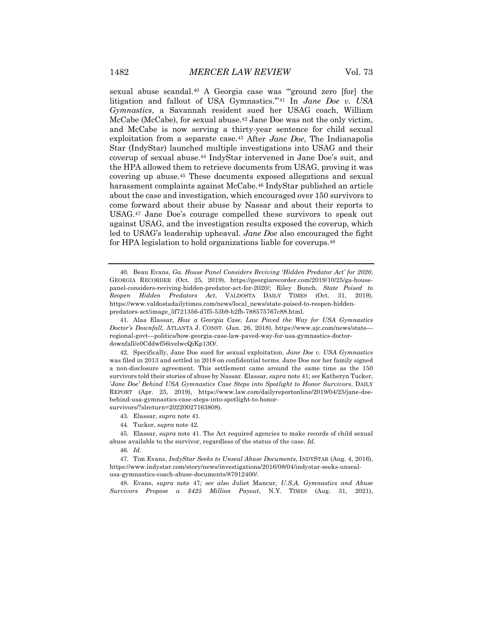sexual abuse scandal.<sup>40</sup> A Georgia case was "ground zero [for] the litigation and fallout of USA Gymnastics.'"41 In *Jane Doe v. USA Gymnastics*, a Savannah resident sued her USAG coach, William McCabe (McCabe), for sexual abuse.<sup>42</sup> Jane Doe was not the only victim, and McCabe is now serving a thirty-year sentence for child sexual exploitation from a separate case.43 After *Jane Doe*, The Indianapolis Star (IndyStar) launched multiple investigations into USAG and their coverup of sexual abuse.44 IndyStar intervened in Jane Doe's suit, and the HPA allowed them to retrieve documents from USAG, proving it was covering up abuse.45 These documents exposed allegations and sexual harassment complaints against McCabe.<sup>46</sup> IndyStar published an article about the case and investigation, which encouraged over 150 survivors to come forward about their abuse by Nassar and about their reports to USAG.47 Jane Doe's courage compelled these survivors to speak out against USAG, and the investigation results exposed the coverup, which led to USAG's leadership upheaval. *Jane Doe* also encouraged the fight for HPA legislation to hold organizations liable for coverups.48

43. Elassar, *supra* note 41.

- 44. Tucker, *supra* note 42.
- 45. Elassar, *supra* note 41. The Act required agencies to make records of child sexual abuse available to the survivor, regardless of the status of the case. *Id.*
	- 46*. Id.*

47. Tim Evans, *IndyStar Seeks to Unseal Abuse Documents*, INDYSTAR (Aug. 4, 2016), https://www.indystar.com/story/news/investigations/2016/08/04/indystar-seeks-unsealusa-gymnastics-coach-abuse-documents/87912400/.

48. Evans, *supra* note 47*; see also* Juliet Mancur, *U.S.A. Gymnastics and Abuse Survivors Propose a \$425 Million Payout*, N.Y. TIMES (Aug. 31, 2021),

<sup>40.</sup> Beau Evans, *Ga. House Panel Considers Reviving 'Hidden Predator Act' for 2020*, GEORGIA RECORDER (Oct. 25, 2019), https://georgiarecorder.com/2019/10/25/ga-housepanel-considers-reviving-hidden-predator-act-for-2020/; Riley Bunch, *State Poised to Reopen Hidden Predators Act*, VALDOSTA DAILY TIMES (Oct. 31, 2019), https://www.valdostadailytimes.com/news/local\_news/state-poised-to-reopen-hiddenpredators-act/image\_5f721356-d7f5-53b9-b2fb-788575767c88.html.

<sup>41.</sup> Alaa Elassar, *How a Georgia Case, Law Paved the Way for USA Gymnastics Doctor's Downfall*, ATLANTA J. CONST. (Jan. 26, 2018), https://www.ajc.com/news/state regional-govt—politics/how-georgia-case-law-paved-way-for-usa-gymnastics-doctordownfall/e0Cddwf56ivelwcQiKp13O/.

<sup>42.</sup> Specifically, Jane Doe sued for sexual exploitation. *Jane Doe v. USA Gymnastics* was filed in 2013 and settled in 2018 on confidential terms. Jane Doe nor her family signed a non-disclosure agreement. This settlement came around the same time as the 150 survivors told their stories of abuse by Nassar. Elassar, *supra* note 41; *see* Katheryn Tucker, *'Jane Doe' Behind USA Gymnastics Case Steps into Spotlight to Honor Survivors*, DAILY REPORT (Apr. 25, 2019), https://www.law.com/dailyreportonline/2019/04/25/jane-doebehind-usa-gymnastics-case-steps-into-spotlight-to-honorsurvivors/?slreturn=20220027163808).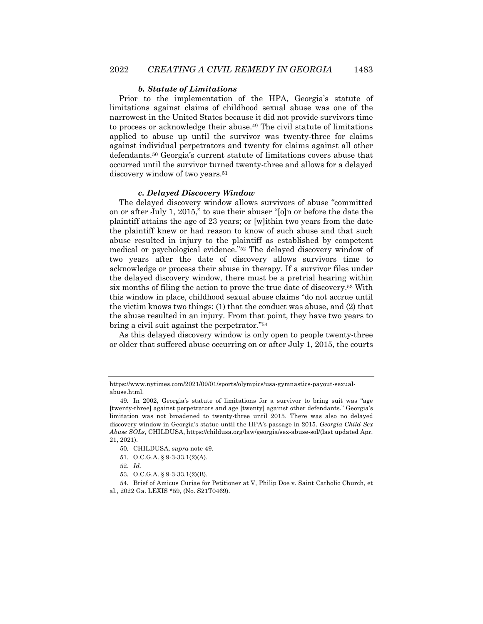#### *b. Statute of Limitations*

Prior to the implementation of the HPA, Georgia's statute of limitations against claims of childhood sexual abuse was one of the narrowest in the United States because it did not provide survivors time to process or acknowledge their abuse.49 The civil statute of limitations applied to abuse up until the survivor was twenty-three for claims against individual perpetrators and twenty for claims against all other defendants.50 Georgia's current statute of limitations covers abuse that occurred until the survivor turned twenty-three and allows for a delayed discovery window of two years.<sup>51</sup>

#### *c. Delayed Discovery Window*

The delayed discovery window allows survivors of abuse "committed on or after July 1, 2015," to sue their abuser "[o]n or before the date the plaintiff attains the age of 23 years; or [w]ithin two years from the date the plaintiff knew or had reason to know of such abuse and that such abuse resulted in injury to the plaintiff as established by competent medical or psychological evidence."52 The delayed discovery window of two years after the date of discovery allows survivors time to acknowledge or process their abuse in therapy. If a survivor files under the delayed discovery window, there must be a pretrial hearing within six months of filing the action to prove the true date of discovery.53 With this window in place, childhood sexual abuse claims "do not accrue until the victim knows two things: (1) that the conduct was abuse, and (2) that the abuse resulted in an injury. From that point, they have two years to bring a civil suit against the perpetrator."54

As this delayed discovery window is only open to people twenty-three or older that suffered abuse occurring on or after July 1, 2015, the courts

https://www.nytimes.com/2021/09/01/sports/olympics/usa-gymnastics-payout-sexualabuse.html.

<sup>49.</sup> In 2002, Georgia's statute of limitations for a survivor to bring suit was "age [twenty-three] against perpetrators and age [twenty] against other defendants." Georgia's limitation was not broadened to twenty-three until 2015. There was also no delayed discovery window in Georgia's statue until the HPA's passage in 2015. *Georgia Child Sex Abuse SOLs*, CHILDUSA, https://childusa.org/law/georgia/sex-abuse-sol/(last updated Apr. 21, 2021).

<sup>50.</sup> CHILDUSA, *supra* note 49.

<sup>51.</sup> O.C.G.A. § 9-3-33.1(2)(A).

<sup>52</sup>*. Id.*

<sup>53.</sup> O.C.G.A. § 9-3-33.1(2)(B).

<sup>54.</sup> Brief of Amicus Curiae for Petitioner at V, Philip Doe v. Saint Catholic Church, et al., 2022 Ga. LEXIS \*59, (No. S21T0469).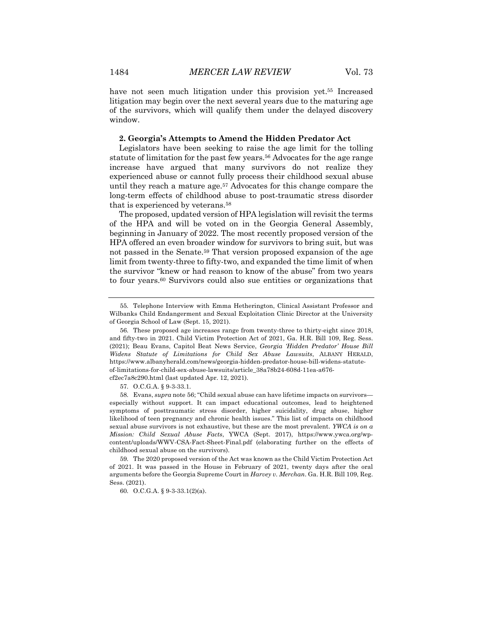have not seen much litigation under this provision yet.<sup>55</sup> Increased litigation may begin over the next several years due to the maturing age of the survivors, which will qualify them under the delayed discovery window.

#### **2. Georgia's Attempts to Amend the Hidden Predator Act**

Legislators have been seeking to raise the age limit for the tolling statute of limitation for the past few years.56 Advocates for the age range increase have argued that many survivors do not realize they experienced abuse or cannot fully process their childhood sexual abuse until they reach a mature age.<sup>57</sup> Advocates for this change compare the long-term effects of childhood abuse to post-traumatic stress disorder that is experienced by veterans.58

The proposed, updated version of HPA legislation will revisit the terms of the HPA and will be voted on in the Georgia General Assembly, beginning in January of 2022. The most recently proposed version of the HPA offered an even broader window for survivors to bring suit, but was not passed in the Senate.59 That version proposed expansion of the age limit from twenty-three to fifty-two, and expanded the time limit of when the survivor "knew or had reason to know of the abuse" from two years to four years.60 Survivors could also sue entities or organizations that

59. The 2020 proposed version of the Act was known as the Child Victim Protection Act of 2021. It was passed in the House in February of 2021, twenty days after the oral arguments before the Georgia Supreme Court in *Harvey v. Merchan*. Ga. H.R. Bill 109, Reg. Sess. (2021).

60. O.C.G.A. § 9-3-33.1(2)(a).

<sup>55.</sup> Telephone Interview with Emma Hetherington, Clinical Assistant Professor and Wilbanks Child Endangerment and Sexual Exploitation Clinic Director at the University of Georgia School of Law (Sept. 15, 2021).

<sup>56.</sup> These proposed age increases range from twenty-three to thirty-eight since 2018, and fifty-two in 2021. Child Victim Protection Act of 2021, Ga. H.R. Bill 109, Reg. Sess. (2021); Beau Evans, Capitol Beat News Service, *Georgia 'Hidden Predator' House Bill Widens Statute of Limitations for Child Sex Abuse Lawsuits*, ALBANY HERALD, https://www.albanyherald.com/news/georgia-hidden-predator-house-bill-widens-statuteof-limitations-for-child-sex-abuse-lawsuits/article\_38a78b24-608d-11ea-a676-

cf2ec7a8c290.html (last updated Apr. 12, 2021).

<sup>57.</sup> O.C.G.A. § 9-3-33.1.

<sup>58.</sup> Evans, *supra* note 56; "Child sexual abuse can have lifetime impacts on survivors especially without support. It can impact educational outcomes, lead to heightened symptoms of posttraumatic stress disorder, higher suicidality, drug abuse, higher likelihood of teen pregnancy and chronic health issues." This list of impacts on childhood sexual abuse survivors is not exhaustive, but these are the most prevalent. *YWCA is on a Mission: Child Sexual Abuse Facts*, YWCA (Sept. 2017), https://www.ywca.org/wpcontent/uploads/WWV-CSA-Fact-Sheet-Final.pdf (elaborating further on the effects of childhood sexual abuse on the survivors).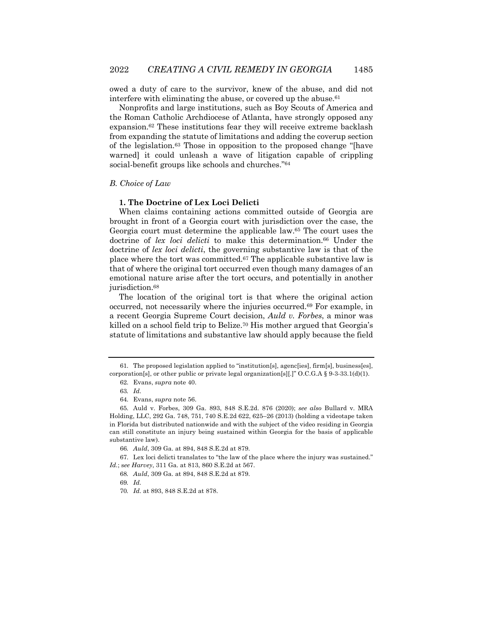owed a duty of care to the survivor, knew of the abuse, and did not interfere with eliminating the abuse, or covered up the abuse.<sup>61</sup>

Nonprofits and large institutions, such as Boy Scouts of America and the Roman Catholic Archdiocese of Atlanta, have strongly opposed any expansion.62 These institutions fear they will receive extreme backlash from expanding the statute of limitations and adding the coverup section of the legislation.63 Those in opposition to the proposed change "[have warned] it could unleash a wave of litigation capable of crippling social-benefit groups like schools and churches."64

#### *B. Choice of Law*

#### **1. The Doctrine of Lex Loci Delicti**

When claims containing actions committed outside of Georgia are brought in front of a Georgia court with jurisdiction over the case, the Georgia court must determine the applicable law.65 The court uses the doctrine of *lex loci delicti* to make this determination.66 Under the doctrine of *lex loci delicti*, the governing substantive law is that of the place where the tort was committed.67 The applicable substantive law is that of where the original tort occurred even though many damages of an emotional nature arise after the tort occurs, and potentially in another jurisdiction.<sup>68</sup>

The location of the original tort is that where the original action occurred, not necessarily where the injuries occurred.69 For example, in a recent Georgia Supreme Court decision, *Auld v. Forbes*, a minor was killed on a school field trip to Belize.70 His mother argued that Georgia's statute of limitations and substantive law should apply because the field

<sup>61.</sup> The proposed legislation applied to "institution[s], agenc[ies], firm[s], business[es], corporation[s], or other public or private legal organization[s][.]"  $O.C.G.A$  § 9-3-33.1(d)(1).

<sup>62.</sup> Evans, *supra* note 40.

<sup>63</sup>*. Id.*

<sup>64.</sup> Evans, *supra* note 56.

<sup>65.</sup> Auld v. Forbes, 309 Ga. 893, 848 S.E.2d. 876 (2020); *see also* Bullard v. MRA Holding, LLC, 292 Ga. 748, 751, 740 S.E.2d 622, 625–26 (2013) (holding a videotape taken in Florida but distributed nationwide and with the subject of the video residing in Georgia can still constitute an injury being sustained within Georgia for the basis of applicable substantive law).

<sup>66</sup>*. Auld*, 309 Ga. at 894, 848 S.E.2d at 879.

<sup>67.</sup> Lex loci delicti translates to "the law of the place where the injury was sustained." *Id.*; s*ee Harvey*, 311 Ga. at 813, 860 S.E.2d at 567.

<sup>68</sup>*. Auld*, 309 Ga. at 894, 848 S.E.2d at 879.

<sup>69</sup>*. Id.*

<sup>70</sup>*. Id.* at 893, 848 S.E.2d at 878.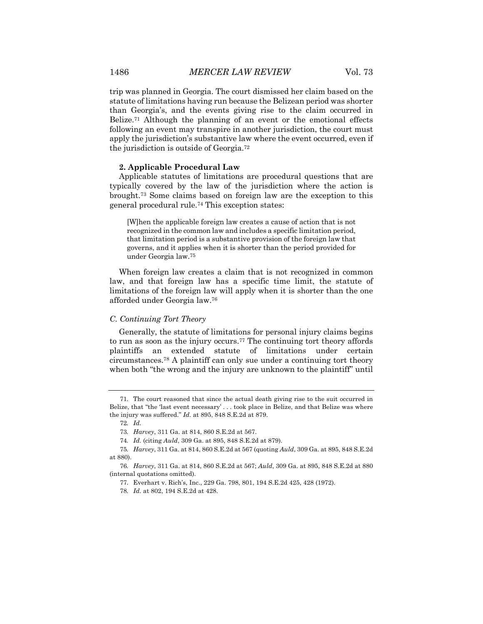trip was planned in Georgia. The court dismissed her claim based on the statute of limitations having run because the Belizean period was shorter than Georgia's, and the events giving rise to the claim occurred in Belize.<sup>71</sup> Although the planning of an event or the emotional effects following an event may transpire in another jurisdiction, the court must apply the jurisdiction's substantive law where the event occurred, even if the jurisdiction is outside of Georgia.72

#### **2. Applicable Procedural Law**

Applicable statutes of limitations are procedural questions that are typically covered by the law of the jurisdiction where the action is brought.73 Some claims based on foreign law are the exception to this general procedural rule.74 This exception states:

[W]hen the applicable foreign law creates a cause of action that is not recognized in the common law and includes a specific limitation period, that limitation period is a substantive provision of the foreign law that governs, and it applies when it is shorter than the period provided for under Georgia law.75

When foreign law creates a claim that is not recognized in common law, and that foreign law has a specific time limit, the statute of limitations of the foreign law will apply when it is shorter than the one afforded under Georgia law.76

#### *C. Continuing Tort Theory*

Generally, the statute of limitations for personal injury claims begins to run as soon as the injury occurs.77 The continuing tort theory affords plaintiffs an extended statute of limitations under certain circumstances.78 A plaintiff can only sue under a continuing tort theory when both "the wrong and the injury are unknown to the plaintiff" until

72*. Id.*

<sup>71.</sup> The court reasoned that since the actual death giving rise to the suit occurred in Belize, that "the 'last event necessary' . . . took place in Belize, and that Belize was where the injury was suffered." *Id.* at 895, 848 S.E.2d at 879.

<sup>73</sup>*. Harvey*, 311 Ga. at 814, 860 S.E.2d at 567.

<sup>74</sup>*. Id.* (citing *Auld*, 309 Ga. at 895, 848 S.E.2d at 879).

<sup>75</sup>*. Harvey*, 311 Ga. at 814, 860 S.E.2d at 567 (quoting *Auld*, 309 Ga. at 895, 848 S.E.2d at 880).

<sup>76</sup>*. Harvey*, 311 Ga. at 814, 860 S.E.2d at 567; *Auld*, 309 Ga. at 895, 848 S.E.2d at 880 (internal quotations omitted).

<sup>77.</sup> Everhart v. Rich's, Inc., 229 Ga. 798, 801, 194 S.E.2d 425, 428 (1972).

<sup>78</sup>*. Id.* at 802, 194 S.E.2d at 428.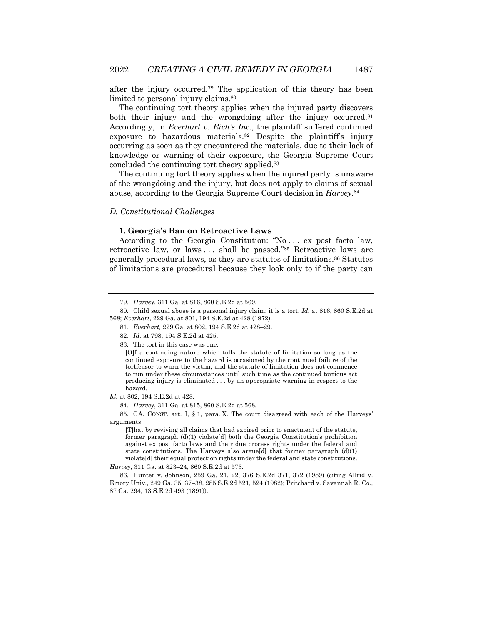after the injury occurred.79 The application of this theory has been limited to personal injury claims.80

The continuing tort theory applies when the injured party discovers both their injury and the wrongdoing after the injury occurred.<sup>81</sup> Accordingly, in *Everhart v. Rich's Inc.*, the plaintiff suffered continued exposure to hazardous materials.82 Despite the plaintiff's injury occurring as soon as they encountered the materials, due to their lack of knowledge or warning of their exposure, the Georgia Supreme Court concluded the continuing tort theory applied.83

The continuing tort theory applies when the injured party is unaware of the wrongdoing and the injury, but does not apply to claims of sexual abuse, according to the Georgia Supreme Court decision in *Harvey*.84

#### *D. Constitutional Challenges*

#### **1. Georgia's Ban on Retroactive Laws**

According to the Georgia Constitution: "No . . . ex post facto law, retroactive law, or laws . . . shall be passed."85 Retroactive laws are generally procedural laws, as they are statutes of limitations.86 Statutes of limitations are procedural because they look only to if the party can

- 81*. Everhart,* 229 Ga. at 802, 194 S.E.2d at 428–29.
- 82*. Id.* at 798, 194 S.E.2d at 425.

83. The tort in this case was one:

*Id.* at 802, 194 S.E.2d at 428.

84*. Harvey*, 311 Ga. at 815, 860 S.E.2d at 568*.*

85. GA. CONST. art. I, § 1, para. X. The court disagreed with each of the Harveys' arguments:

[T]hat by reviving all claims that had expired prior to enactment of the statute, former paragraph (d)(1) violate[d] both the Georgia Constitution's prohibition against ex post facto laws and their due process rights under the federal and state constitutions. The Harveys also argue[d] that former paragraph (d)(1) violate[d] their equal protection rights under the federal and state constitutions.

*Harvey*, 311 Ga. at 823–24, 860 S.E.2d at 573.

86. Hunter v. Johnson, 259 Ga. 21, 22, 376 S.E.2d 371, 372 (1989) (citing Allrid v. Emory Univ., 249 Ga. 35, 37–38, 285 S.E.2d 521, 524 (1982); Pritchard v. Savannah R. Co., 87 Ga. 294, 13 S.E.2d 493 (1891)).

<sup>79</sup>*. Harvey*, 311 Ga. at 816, 860 S.E.2d at 569.

<sup>80.</sup> Child sexual abuse is a personal injury claim; it is a tort. *Id.* at 816, 860 S.E.2d at 568; *Everhart*, 229 Ga. at 801, 194 S.E.2d at 428 (1972).

<sup>[</sup>O]f a continuing nature which tolls the statute of limitation so long as the continued exposure to the hazard is occasioned by the continued failure of the tortfeasor to warn the victim, and the statute of limitation does not commence to run under these circumstances until such time as the continued tortious act producing injury is eliminated . . . by an appropriate warning in respect to the hazard.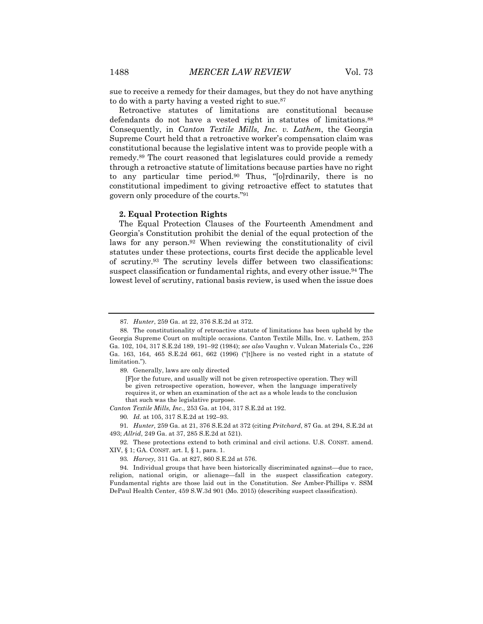sue to receive a remedy for their damages, but they do not have anything to do with a party having a vested right to sue.<sup>87</sup>

Retroactive statutes of limitations are constitutional because defendants do not have a vested right in statutes of limitations.<sup>88</sup> Consequently, in *Canton Textile Mills, Inc. v. Lathem*, the Georgia Supreme Court held that a retroactive worker's compensation claim was constitutional because the legislative intent was to provide people with a remedy.89 The court reasoned that legislatures could provide a remedy through a retroactive statute of limitations because parties have no right to any particular time period.<sup>90</sup> Thus, "[o]rdinarily, there is no constitutional impediment to giving retroactive effect to statutes that govern only procedure of the courts."91

#### **2. Equal Protection Rights**

The Equal Protection Clauses of the Fourteenth Amendment and Georgia's Constitution prohibit the denial of the equal protection of the laws for any person.92 When reviewing the constitutionality of civil statutes under these protections, courts first decide the applicable level of scrutiny.93 The scrutiny levels differ between two classifications: suspect classification or fundamental rights, and every other issue.<sup>94</sup> The lowest level of scrutiny, rational basis review, is used when the issue does

[F]or the future, and usually will not be given retrospective operation. They will be given retrospective operation, however, when the language imperatively requires it, or when an examination of the act as a whole leads to the conclusion that such was the legislative purpose.

*Canton Textile Mills, Inc.*, 253 Ga. at 104, 317 S.E.2d at 192.

90*. Id.* at 105, 317 S.E.2d at 192–93.

91*. Hunter,* 259 Ga. at 21, 376 S.E.2d at 372 (citing *Pritchard*, 87 Ga. at 294, S.E.2d at 493; *Allrid*, 249 Ga. at 37, 285 S.E.2d at 521).

<sup>87</sup>*. Hunter*, 259 Ga. at 22, 376 S.E.2d at 372.

<sup>88.</sup> The constitutionality of retroactive statute of limitations has been upheld by the Georgia Supreme Court on multiple occasions. Canton Textile Mills, Inc. v. Lathem, 253 Ga. 102, 104, 317 S.E.2d 189, 191–92 (1984); *see also* Vaughn v. Vulcan Materials Co., 226 Ga. 163, 164, 465 S.E.2d 661, 662 (1996) ("[t]here is no vested right in a statute of limitation.").

<sup>89.</sup> Generally, laws are only directed

<sup>92.</sup> These protections extend to both criminal and civil actions. U.S. CONST. amend. XIV, § 1; GA. CONST. art. I, § 1, para. 1.

<sup>93</sup>*. Harvey,* 311 Ga. at 827, 860 S.E.2d at 576.

<sup>94.</sup> Individual groups that have been historically discriminated against—due to race, religion, national origin, or alienage—fall in the suspect classification category. Fundamental rights are those laid out in the Constitution. *See* Amber-Phillips v. SSM DePaul Health Center, 459 S.W.3d 901 (Mo. 2015) (describing suspect classification).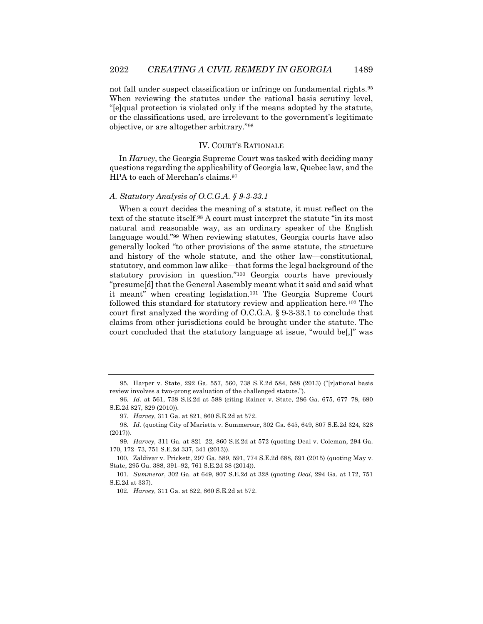not fall under suspect classification or infringe on fundamental rights.95 When reviewing the statutes under the rational basis scrutiny level, "[e]qual protection is violated only if the means adopted by the statute, or the classifications used, are irrelevant to the government's legitimate objective, or are altogether arbitrary."96

#### IV. COURT'S RATIONALE

In *Harvey*, the Georgia Supreme Court was tasked with deciding many questions regarding the applicability of Georgia law, Quebec law, and the HPA to each of Merchan's claims.97

#### *A. Statutory Analysis of O.C.G.A. § 9-3-33.1*

When a court decides the meaning of a statute, it must reflect on the text of the statute itself.98 A court must interpret the statute "in its most natural and reasonable way, as an ordinary speaker of the English language would."99 When reviewing statutes, Georgia courts have also generally looked "to other provisions of the same statute, the structure and history of the whole statute, and the other law—constitutional, statutory, and common law alike—that forms the legal background of the statutory provision in question."100 Georgia courts have previously "presume[d] that the General Assembly meant what it said and said what it meant" when creating legislation.101 The Georgia Supreme Court followed this standard for statutory review and application here.102 The court first analyzed the wording of O.C.G.A. § 9-3-33.1 to conclude that claims from other jurisdictions could be brought under the statute. The court concluded that the statutory language at issue, "would be[,]" was

<sup>95.</sup> Harper v. State, 292 Ga. 557, 560, 738 S.E.2d 584, 588 (2013) ("[r]ational basis review involves a two-prong evaluation of the challenged statute.").

<sup>96</sup>*. Id.* at 561, 738 S.E.2d at 588 (citing Rainer v. State, 286 Ga. 675, 677–78, 690 S.E.2d 827, 829 (2010)).

<sup>97</sup>*. Harvey*, 311 Ga. at 821, 860 S.E.2d at 572.

<sup>98</sup>*. Id.* (quoting City of Marietta v. Summerour, 302 Ga. 645, 649, 807 S.E.2d 324, 328 (2017)).

<sup>99</sup>*. Harvey*, 311 Ga. at 821–22, 860 S.E.2d at 572 (quoting Deal v. Coleman, 294 Ga. 170, 172–73, 751 S.E.2d 337, 341 (2013)).

<sup>100.</sup> Zaldivar v. Prickett, 297 Ga. 589, 591, 774 S.E.2d 688, 691 (2015) (quoting May v. State, 295 Ga. 388, 391–92, 761 S.E.2d 38 (2014)).

<sup>101</sup>*. Summeror*, 302 Ga. at 649, 807 S.E.2d at 328 (quoting *Deal*, 294 Ga. at 172, 751 S.E.2d at 337).

<sup>102</sup>*. Harvey*, 311 Ga. at 822, 860 S.E.2d at 572.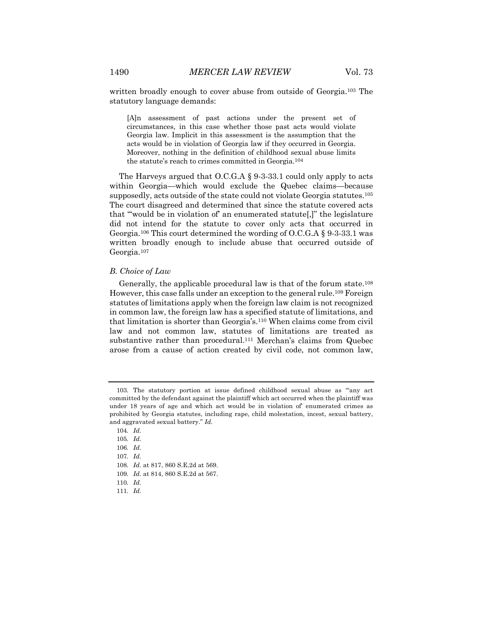written broadly enough to cover abuse from outside of Georgia.<sup>103</sup> The statutory language demands:

[A]n assessment of past actions under the present set of circumstances, in this case whether those past acts would violate Georgia law. Implicit in this assessment is the assumption that the acts would be in violation of Georgia law if they occurred in Georgia. Moreover, nothing in the definition of childhood sexual abuse limits the statute's reach to crimes committed in Georgia.104

The Harveys argued that O.C.G.A § 9-3-33.1 could only apply to acts within Georgia—which would exclude the Quebec claims—because supposedly, acts outside of the state could not violate Georgia statutes.<sup>105</sup> The court disagreed and determined that since the statute covered acts that "'would be in violation of' an enumerated statute[,]" the legislature did not intend for the statute to cover only acts that occurred in Georgia.106 This court determined the wording of O.C.G.A § 9-3-33.1 was written broadly enough to include abuse that occurred outside of Georgia.107

#### *B. Choice of Law*

Generally, the applicable procedural law is that of the forum state.108 However, this case falls under an exception to the general rule.109 Foreign statutes of limitations apply when the foreign law claim is not recognized in common law, the foreign law has a specified statute of limitations, and that limitation is shorter than Georgia's.110 When claims come from civil law and not common law, statutes of limitations are treated as substantive rather than procedural.111 Merchan's claims from Quebec arose from a cause of action created by civil code, not common law,

109*. Id.* at 814, 860 S.E.2d at 567.

111*. Id.*

<sup>103.</sup> The statutory portion at issue defined childhood sexual abuse as "'any act committed by the defendant against the plaintiff which act occurred when the plaintiff was under 18 years of age and which act would be in violation of' enumerated crimes as prohibited by Georgia statutes, including rape, child molestation, incest, sexual battery, and aggravated sexual battery." *Id.*

<sup>104</sup>*. Id.*

<sup>105</sup>*. Id.*

<sup>106</sup>*. Id.*

<sup>107</sup>*. Id.*

<sup>108</sup>*. Id.* at 817, 860 S.E.2d at 569.

<sup>110</sup>*. Id.*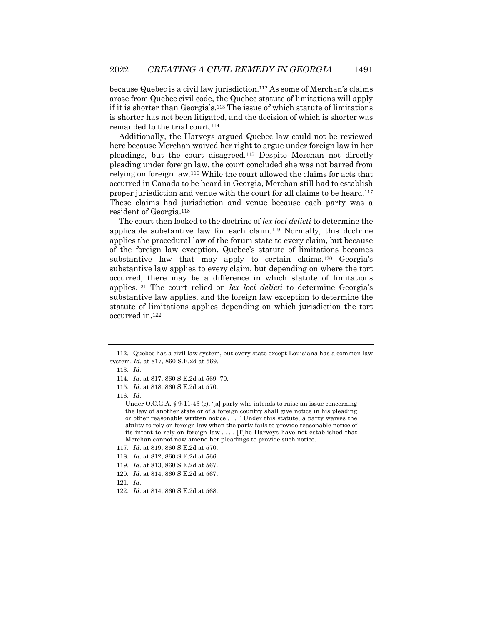because Quebec is a civil law jurisdiction.112 As some of Merchan's claims arose from Quebec civil code, the Quebec statute of limitations will apply if it is shorter than Georgia's.113 The issue of which statute of limitations is shorter has not been litigated, and the decision of which is shorter was remanded to the trial court.114

Additionally, the Harveys argued Quebec law could not be reviewed here because Merchan waived her right to argue under foreign law in her pleadings, but the court disagreed.115 Despite Merchan not directly pleading under foreign law, the court concluded she was not barred from relying on foreign law.116 While the court allowed the claims for acts that occurred in Canada to be heard in Georgia, Merchan still had to establish proper jurisdiction and venue with the court for all claims to be heard.117 These claims had jurisdiction and venue because each party was a resident of Georgia.118

The court then looked to the doctrine of *lex loci delicti* to determine the applicable substantive law for each claim.119 Normally, this doctrine applies the procedural law of the forum state to every claim, but because of the foreign law exception, Quebec's statute of limitations becomes substantive law that may apply to certain claims.120 Georgia's substantive law applies to every claim, but depending on where the tort occurred, there may be a difference in which statute of limitations applies.121 The court relied on *lex loci delicti* to determine Georgia's substantive law applies, and the foreign law exception to determine the statute of limitations applies depending on which jurisdiction the tort occurred in.122

116*. Id.*

117*. Id.* at 819, 860 S.E.2d at 570.

- 120*. Id.* at 814, 860 S.E.2d at 567.
- 121*. Id.*

<sup>112.</sup> Quebec has a civil law system, but every state except Louisiana has a common law system. *Id.* at 817, 860 S.E.2d at 569.

<sup>113</sup>*. Id.*

<sup>114</sup>*. Id.* at 817, 860 S.E.2d at 569–70.

<sup>115</sup>*. Id.* at 818, 860 S.E.2d at 570.

Under O.C.G.A. § 9-11-43 (c), '[a] party who intends to raise an issue concerning the law of another state or of a foreign country shall give notice in his pleading or other reasonable written notice . . . .' Under this statute, a party waives the ability to rely on foreign law when the party fails to provide reasonable notice of its intent to rely on foreign law . . . . [T]he Harveys have not established that Merchan cannot now amend her pleadings to provide such notice.

<sup>118</sup>*. Id.* at 812, 860 S.E.2d at 566.

<sup>119</sup>*. Id.* at 813, 860 S.E.2d at 567.

<sup>122</sup>*. Id.* at 814, 860 S.E.2d at 568.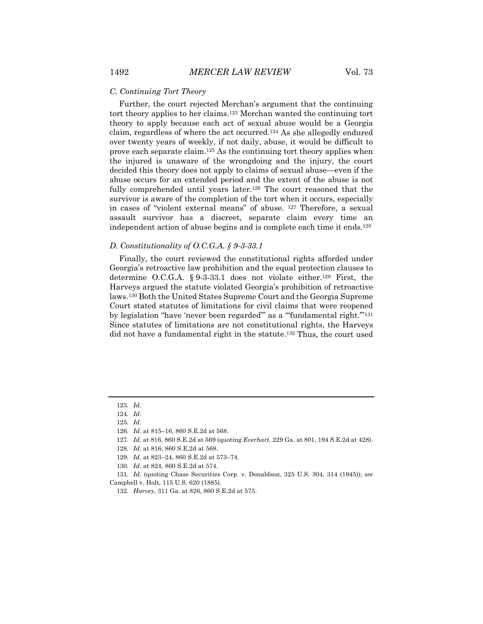#### *C. Continuing Tort Theory*

Further, the court rejected Merchan's argument that the continuing tort theory applies to her claims.123 Merchan wanted the continuing tort theory to apply because each act of sexual abuse would be a Georgia claim, regardless of where the act occurred.124 As she allegedly endured over twenty years of weekly, if not daily, abuse, it would be difficult to prove each separate claim.125 As the continuing tort theory applies when the injured is unaware of the wrongdoing and the injury, the court decided this theory does not apply to claims of sexual abuse—even if the abuse occurs for an extended period and the extent of the abuse is not fully comprehended until years later.<sup>126</sup> The court reasoned that the survivor is aware of the completion of the tort when it occurs, especially in cases of "violent external means" of abuse. 127 Therefore, a sexual assault survivor has a discreet, separate claim every time an independent action of abuse begins and is complete each time it ends.128

### *D. Constitutionality of O.C.G.A. § 9-3-33.1*

Finally, the court reviewed the constitutional rights afforded under Georgia's retroactive law prohibition and the equal protection clauses to determine O.C.G.A. § 9-3-33.1 does not violate either.129 First, the Harveys argued the statute violated Georgia's prohibition of retroactive laws.130 Both the United States Supreme Court and the Georgia Supreme Court stated statutes of limitations for civil claims that were reopened by legislation "have 'never been regarded'" as a "'fundamental right.'"131 Since statutes of limitations are not constitutional rights, the Harveys did not have a fundamental right in the statute.132 Thus, the court used

127*. Id.* at 816, 860 S.E.2d at 569 (quoting *Everhart*, 229 Ga. at 801, 194 S.E.2d at 428).

<sup>123</sup>*. Id.*

<sup>124</sup>*. Id.*

<sup>125</sup>*. Id.*

<sup>126</sup>*. Id.* at 815–16, 860 S.E.2d at 568.

<sup>128</sup>*. Id.* at 816, 860 S.E.2d at 568.

<sup>129</sup>*. Id.* at 823–24, 860 S.E.2d at 573–74.

<sup>130</sup>*. Id.* at 824, 860 S.E.2d at 574.

<sup>131</sup>*. Id.* (quoting Chase Securities Corp. v. Donaldson, 325 U.S. 304, 314 (1945)); *see* Campbell v. Holt, 115 U.S. 620 (1885).

<sup>132</sup>*. Harvey*, 311 Ga. at 826, 860 S.E.2d at 575.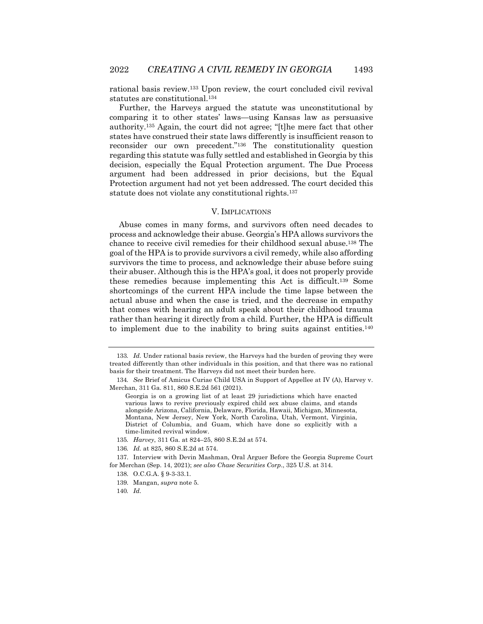rational basis review.133 Upon review, the court concluded civil revival statutes are constitutional.134

Further, the Harveys argued the statute was unconstitutional by comparing it to other states' laws—using Kansas law as persuasive authority.135 Again, the court did not agree; "[t]he mere fact that other states have construed their state laws differently is insufficient reason to reconsider our own precedent."136 The constitutionality question regarding this statute was fully settled and established in Georgia by this decision, especially the Equal Protection argument. The Due Process argument had been addressed in prior decisions, but the Equal Protection argument had not yet been addressed. The court decided this statute does not violate any constitutional rights.137

#### V. IMPLICATIONS

Abuse comes in many forms, and survivors often need decades to process and acknowledge their abuse. Georgia's HPA allows survivors the chance to receive civil remedies for their childhood sexual abuse.138 The goal of the HPA is to provide survivors a civil remedy, while also affording survivors the time to process, and acknowledge their abuse before suing their abuser. Although this is the HPA's goal, it does not properly provide these remedies because implementing this Act is difficult.139 Some shortcomings of the current HPA include the time lapse between the actual abuse and when the case is tried, and the decrease in empathy that comes with hearing an adult speak about their childhood trauma rather than hearing it directly from a child. Further, the HPA is difficult to implement due to the inability to bring suits against entities.140

136*. Id.* at 825, 860 S.E.2d at 574.

<sup>133</sup>*. Id.* Under rational basis review, the Harveys had the burden of proving they were treated differently than other individuals in this position, and that there was no rational basis for their treatment. The Harveys did not meet their burden here.

<sup>134</sup>*. See* Brief of Amicus Curiae Child USA in Support of Appellee at IV (A), Harvey v. Merchan, 311 Ga. 811, 860 S.E.2d 561 (2021).

Georgia is on a growing list of at least 29 jurisdictions which have enacted various laws to revive previously expired child sex abuse claims, and stands alongside Arizona, California, Delaware, Florida, Hawaii, Michigan, Minnesota, Montana, New Jersey, New York, North Carolina, Utah, Vermont, Virginia, District of Columbia, and Guam, which have done so explicitly with a time-limited revival window.

<sup>135</sup>*. Harvey*, 311 Ga. at 824–25, 860 S.E.2d at 574.

<sup>137.</sup> Interview with Devin Mashman, Oral Arguer Before the Georgia Supreme Court for Merchan (Sep. 14, 2021); *see also Chase Securities Corp*., 325 U.S. at 314.

<sup>138.</sup> O.C.G.A. § 9-3-33.1.

<sup>139.</sup> Mangan, *supra* note 5.

<sup>140</sup>*. Id.*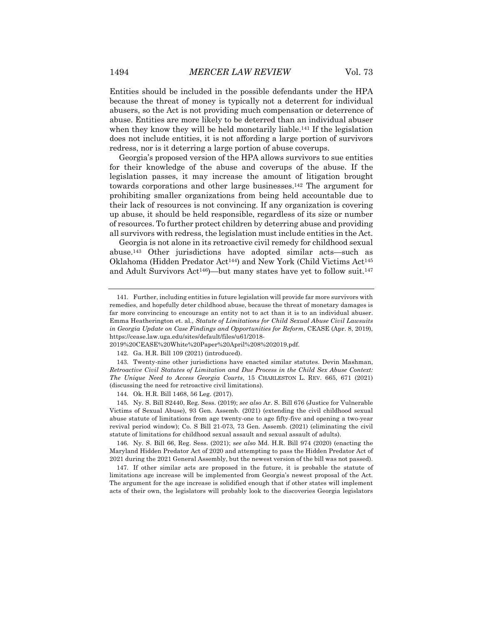Entities should be included in the possible defendants under the HPA because the threat of money is typically not a deterrent for individual abusers, so the Act is not providing much compensation or deterrence of abuse. Entities are more likely to be deterred than an individual abuser when they know they will be held monetarily liable.<sup>141</sup> If the legislation does not include entities, it is not affording a large portion of survivors redress, nor is it deterring a large portion of abuse coverups.

Georgia's proposed version of the HPA allows survivors to sue entities for their knowledge of the abuse and coverups of the abuse. If the legislation passes, it may increase the amount of litigation brought towards corporations and other large businesses.142 The argument for prohibiting smaller organizations from being held accountable due to their lack of resources is not convincing. If any organization is covering up abuse, it should be held responsible, regardless of its size or number of resources. To further protect children by deterring abuse and providing all survivors with redress, the legislation must include entities in the Act.

Georgia is not alone in its retroactive civil remedy for childhood sexual abuse.143 Other jurisdictions have adopted similar acts—such as Oklahoma (Hidden Predator Act144) and New York (Child Victims Act145 and Adult Survivors Act<sup>146</sup>)—but many states have yet to follow suit.<sup>147</sup>

<sup>141.</sup> Further, including entities in future legislation will provide far more survivors with remedies, and hopefully deter childhood abuse, because the threat of monetary damages is far more convincing to encourage an entity not to act than it is to an individual abuser. Emma Heatherington et. al., *Statute of Limitations for Child Sexual Abuse Civil Lawsuits in Georgia Update on Case Findings and Opportunities for Reform*, CEASE (Apr. 8, 2019), https://cease.law.uga.edu/sites/default/files/u61/2018-

<sup>2019%20</sup>CEASE%20White%20Paper%20April%208%202019.pdf.

<sup>142.</sup> Ga. H.R. Bill 109 (2021) (introduced).

<sup>143.</sup> Twenty-nine other jurisdictions have enacted similar statutes. Devin Mashman, *Retroactive Civil Statutes of Limitation and Due Process in the Child Sex Abuse Context: The Unique Need to Access Georgia Courts*, 15 CHARLESTON L. REV. 665, 671 (2021) (discussing the need for retroactive civil limitations).

<sup>144.</sup> Ok. H.R. Bill 1468, 56 Leg. (2017).

<sup>145.</sup> Ny. S. Bill S2440, Reg. Sess. (2019); *see also* Ar. S. Bill 676 (Justice for Vulnerable Victims of Sexual Abuse), 93 Gen. Assemb. (2021) (extending the civil childhood sexual abuse statute of limitations from age twenty-one to age fifty-five and opening a two-year revival period window); Co. S Bill 21-073, 73 Gen. Assemb. (2021) (eliminating the civil statute of limitations for childhood sexual assault and sexual assault of adults).

<sup>146.</sup> Ny. S. Bill 66, Reg. Sess. (2021); s*ee also* Md. H.R. Bill 974 (2020) (enacting the Maryland Hidden Predator Act of 2020 and attempting to pass the Hidden Predator Act of 2021 during the 2021 General Assembly, but the newest version of the bill was not passed).

<sup>147.</sup> If other similar acts are proposed in the future, it is probable the statute of limitations age increase will be implemented from Georgia's newest proposal of the Act. The argument for the age increase is solidified enough that if other states will implement acts of their own, the legislators will probably look to the discoveries Georgia legislators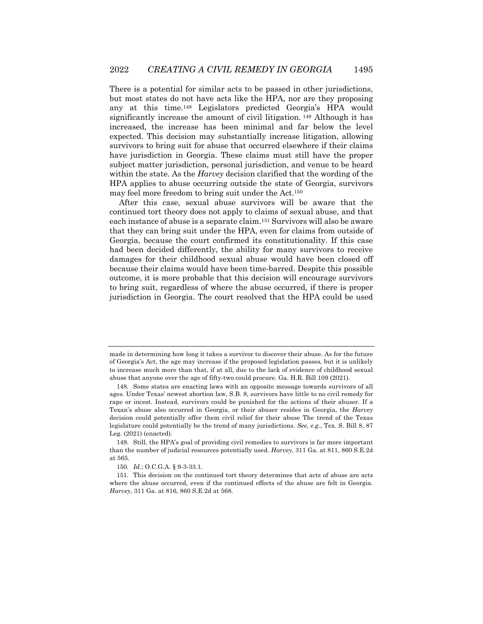There is a potential for similar acts to be passed in other jurisdictions, but most states do not have acts like the HPA, nor are they proposing any at this time.148 Legislators predicted Georgia's HPA would significantly increase the amount of civil litigation. <sup>149</sup> Although it has increased, the increase has been minimal and far below the level expected. This decision may substantially increase litigation, allowing survivors to bring suit for abuse that occurred elsewhere if their claims have jurisdiction in Georgia. These claims must still have the proper subject matter jurisdiction, personal jurisdiction, and venue to be heard within the state. As the *Harvey* decision clarified that the wording of the HPA applies to abuse occurring outside the state of Georgia, survivors may feel more freedom to bring suit under the Act.150

After this case, sexual abuse survivors will be aware that the continued tort theory does not apply to claims of sexual abuse, and that each instance of abuse is a separate claim.151 Survivors will also be aware that they can bring suit under the HPA, even for claims from outside of Georgia, because the court confirmed its constitutionality. If this case had been decided differently, the ability for many survivors to receive damages for their childhood sexual abuse would have been closed off because their claims would have been time-barred. Despite this possible outcome, it is more probable that this decision will encourage survivors to bring suit, regardless of where the abuse occurred, if there is proper jurisdiction in Georgia. The court resolved that the HPA could be used

made in determining how long it takes a survivor to discover their abuse. As for the future of Georgia's Act, the age may increase if the proposed legislation passes, but it is unlikely to increase much more than that, if at all, due to the lack of evidence of childhood sexual abuse that anyone over the age of fifty-two could procure. Ga. H.R. Bill 109 (2021).

<sup>148.</sup> Some states are enacting laws with an opposite message towards survivors of all ages. Under Texas' newest abortion law, S.B. 8, survivors have little to no civil remedy for rape or incest. Instead, survivors could be punished for the actions of their abuser. If a Texan's abuse also occurred in Georgia, or their abuser resides in Georgia, the *Harvey* decision could potentially offer them civil relief for their abuse The trend of the Texas legislature could potentially be the trend of many jurisdictions. *See, e.g.*, Tex. S. Bill 8, 87 Leg. (2021) (enacted).

<sup>149.</sup> Still, the HPA's goal of providing civil remedies to survivors is far more important than the number of judicial resources potentially used. *Harvey*, 311 Ga. at 811, 860 S.E.2d at 565.

<sup>150</sup>*. Id.*; O.C.G.A. § 9-3-33.1*.*

<sup>151.</sup> This decision on the continued tort theory determines that acts of abuse are acts where the abuse occurred, even if the continued effects of the abuse are felt in Georgia. *Harvey*, 311 Ga. at 816, 860 S.E.2d at 568.